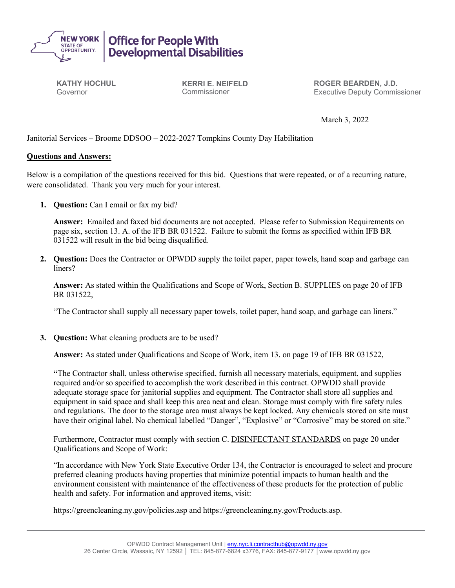

**KATHY HOCHUL** Governor

**KERRI E. NEIFELD** Commissioner

**ROGER BEARDEN, J.D.** Executive Deputy Commissioner

March 3, 2022

Janitorial Services – Broome DDSOO – 2022-2027 Tompkins County Day Habilitation

## **Questions and Answers:**

Below is a compilation of the questions received for this bid. Questions that were repeated, or of a recurring nature, were consolidated. Thank you very much for your interest.

**1. Question:** Can I email or fax my bid?

**Answer:** Emailed and faxed bid documents are not accepted. Please refer to Submission Requirements on page six, section 13. A. of the IFB BR 031522. Failure to submit the forms as specified within IFB BR 031522 will result in the bid being disqualified.

**2. Question:** Does the Contractor or OPWDD supply the toilet paper, paper towels, hand soap and garbage can liners?

**Answer:** As stated within the Qualifications and Scope of Work, Section B. SUPPLIES on page 20 of IFB BR 031522,

"The Contractor shall supply all necessary paper towels, toilet paper, hand soap, and garbage can liners."

**3. Question:** What cleaning products are to be used?

**Answer:** As stated under Qualifications and Scope of Work, item 13. on page 19 of IFB BR 031522,

**"**The Contractor shall, unless otherwise specified, furnish all necessary materials, equipment, and supplies required and/or so specified to accomplish the work described in this contract. OPWDD shall provide adequate storage space for janitorial supplies and equipment. The Contractor shall store all supplies and equipment in said space and shall keep this area neat and clean. Storage must comply with fire safety rules and regulations. The door to the storage area must always be kept locked. Any chemicals stored on site must have their original label. No chemical labelled "Danger", "Explosive" or "Corrosive" may be stored on site."

Furthermore, Contractor must comply with section C. DISINFECTANT STANDARDS on page 20 under Qualifications and Scope of Work:

"In accordance with New York State Executive Order 134, the Contractor is encouraged to select and procure preferred cleaning products having properties that minimize potential impacts to human health and the environment consistent with maintenance of the effectiveness of these products for the protection of public health and safety. For information and approved items, visit:

https://greencleaning.ny.gov/policies.asp and https://greencleaning.ny.gov/Products.asp.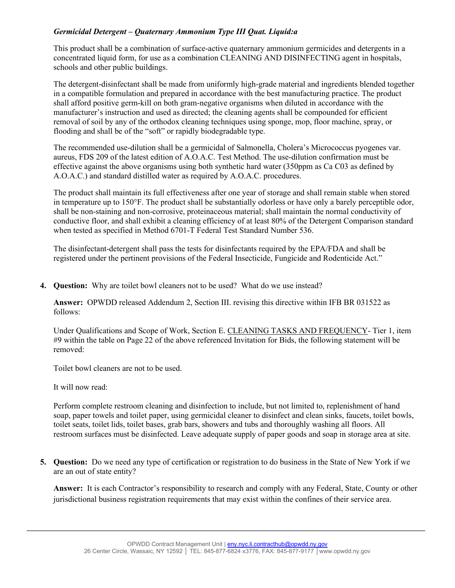## *Germicidal Detergent – Quaternary Ammonium Type III Quat. Liquid:a*

This product shall be a combination of surface-active quaternary ammonium germicides and detergents in a concentrated liquid form, for use as a combination CLEANING AND DISINFECTING agent in hospitals, schools and other public buildings.

The detergent-disinfectant shall be made from uniformly high-grade material and ingredients blended together in a compatible formulation and prepared in accordance with the best manufacturing practice. The product shall afford positive germ-kill on both gram-negative organisms when diluted in accordance with the manufacturer's instruction and used as directed; the cleaning agents shall be compounded for efficient removal of soil by any of the orthodox cleaning techniques using sponge, mop, floor machine, spray, or flooding and shall be of the "soft" or rapidly biodegradable type.

The recommended use-dilution shall be a germicidal of Salmonella, Cholera's Micrococcus pyogenes var. aureus, FDS 209 of the latest edition of A.O.A.C. Test Method. The use-dilution confirmation must be effective against the above organisms using both synthetic hard water (350ppm as Ca C03 as defined by A.O.A.C.) and standard distilled water as required by A.O.A.C. procedures.

The product shall maintain its full effectiveness after one year of storage and shall remain stable when stored in temperature up to 150°F. The product shall be substantially odorless or have only a barely perceptible odor, shall be non-staining and non-corrosive, proteinaceous material; shall maintain the normal conductivity of conductive floor, and shall exhibit a cleaning efficiency of at least 80% of the Detergent Comparison standard when tested as specified in Method 6701-T Federal Test Standard Number 536.

The disinfectant-detergent shall pass the tests for disinfectants required by the EPA/FDA and shall be registered under the pertinent provisions of the Federal Insecticide, Fungicide and Rodenticide Act."

**4. Question:** Why are toilet bowl cleaners not to be used? What do we use instead?

**Answer:** OPWDD released Addendum 2, Section III. revising this directive within IFB BR 031522 as follows:

Under Qualifications and Scope of Work, Section E. CLEANING TASKS AND FREQUENCY- Tier 1, item #9 within the table on Page 22 of the above referenced Invitation for Bids, the following statement will be removed:

Toilet bowl cleaners are not to be used.

It will now read:

Perform complete restroom cleaning and disinfection to include, but not limited to, replenishment of hand soap, paper towels and toilet paper, using germicidal cleaner to disinfect and clean sinks, faucets, toilet bowls, toilet seats, toilet lids, toilet bases, grab bars, showers and tubs and thoroughly washing all floors. All restroom surfaces must be disinfected. Leave adequate supply of paper goods and soap in storage area at site.

**5. Question:** Do we need any type of certification or registration to do business in the State of New York if we are an out of state entity?

**Answer:** It is each Contractor's responsibility to research and comply with any Federal, State, County or other jurisdictional business registration requirements that may exist within the confines of their service area.